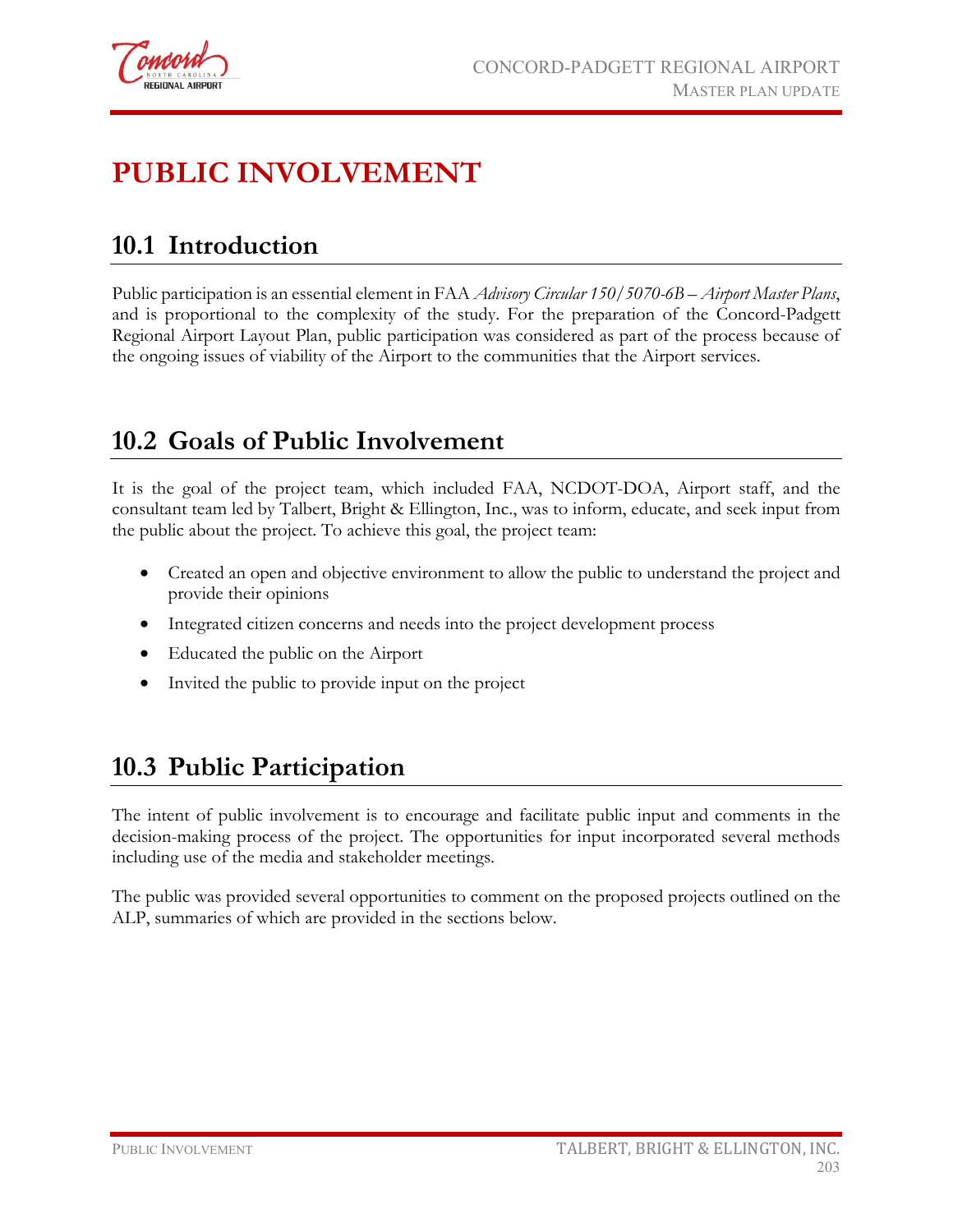

# **PUBLIC INVOLVEMENT**

## **10.1 Introduction**

Public participation is an essential element in FAA *Advisory Circular 150/5070-6B – Airport Master Plans*, and is proportional to the complexity of the study. For the preparation of the Concord-Padgett Regional Airport Layout Plan, public participation was considered as part of the process because of the ongoing issues of viability of the Airport to the communities that the Airport services.

## **10.2 Goals of Public Involvement**

It is the goal of the project team, which included FAA, NCDOT-DOA, Airport staff, and the consultant team led by Talbert, Bright & Ellington, Inc., was to inform, educate, and seek input from the public about the project. To achieve this goal, the project team:

- Created an open and objective environment to allow the public to understand the project and provide their opinions
- Integrated citizen concerns and needs into the project development process
- Educated the public on the Airport
- Invited the public to provide input on the project

## **10.3 Public Participation**

The intent of public involvement is to encourage and facilitate public input and comments in the decision-making process of the project. The opportunities for input incorporated several methods including use of the media and stakeholder meetings.

The public was provided several opportunities to comment on the proposed projects outlined on the ALP, summaries of which are provided in the sections below.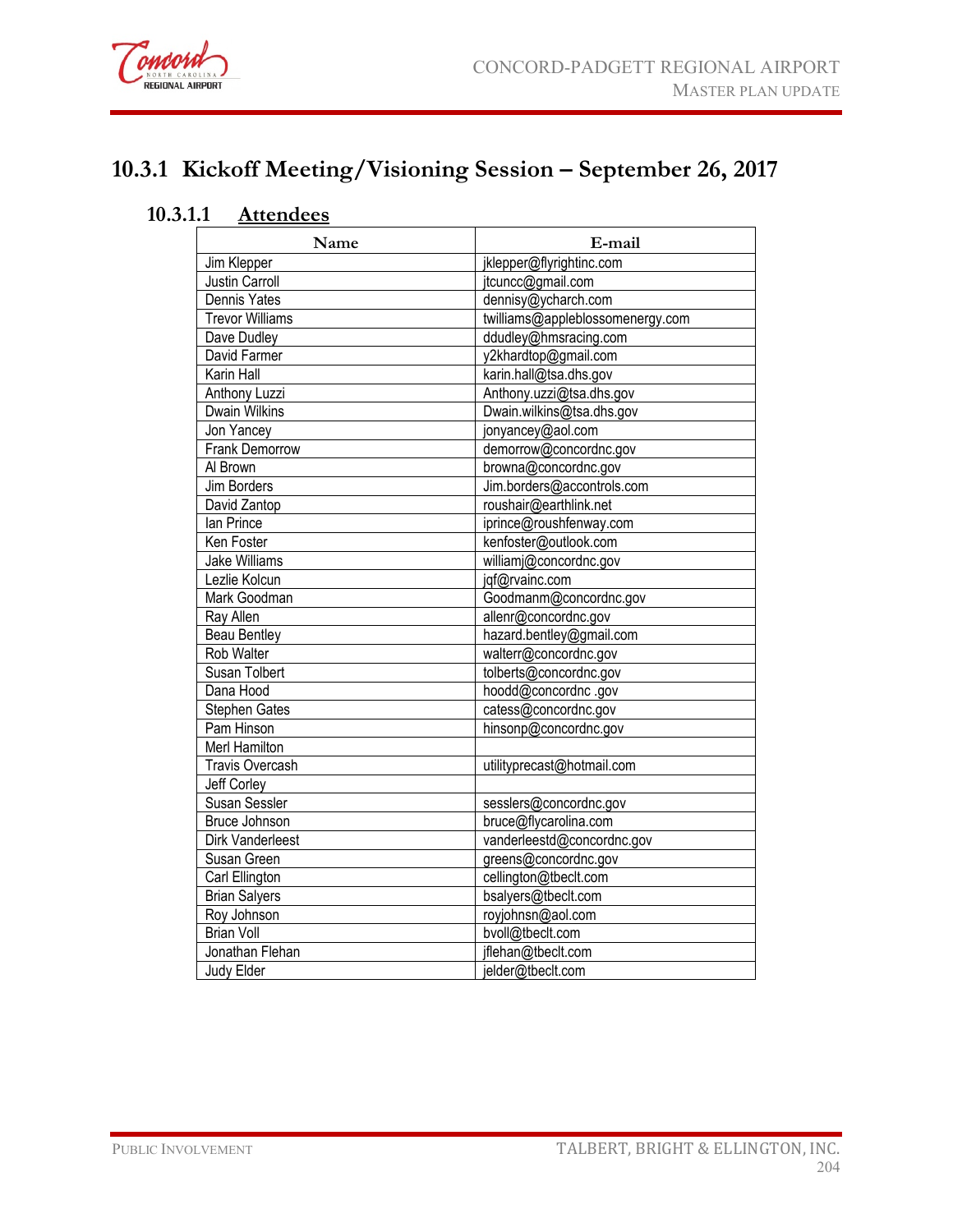

## **10.3.1 Kickoff Meeting/Visioning Session – September 26, 2017**

### **10.3.1.1 Attendees**

| Name                    | E-mail                           |
|-------------------------|----------------------------------|
| Jim Klepper             | jklepper@flyrightinc.com         |
| Justin Carroll          | jtcuncc@gmail.com                |
| Dennis Yates            | dennisy@ycharch.com              |
| <b>Trevor Williams</b>  | twilliams@appleblossomenergy.com |
| Dave Dudley             | ddudley@hmsracing.com            |
| David Farmer            | y2khardtop@gmail.com             |
| Karin Hall              | karin.hall@tsa.dhs.gov           |
| Anthony Luzzi           | Anthony.uzzi@tsa.dhs.gov         |
| <b>Dwain Wilkins</b>    | Dwain.wilkins@tsa.dhs.gov        |
| Jon Yancey              | jonyancey@aol.com                |
| Frank Demorrow          | demorrow@concordnc.gov           |
| Al Brown                | browna@concordnc.gov             |
| Jim Borders             | Jim.borders@accontrols.com       |
| David Zantop            | roushair@earthlink.net           |
| lan Prince              | iprince@roushfenway.com          |
| Ken Foster              | kenfoster@outlook.com            |
| Jake Williams           | williamj@concordnc.gov           |
| Lezlie Kolcun           | jqf@rvainc.com                   |
| Mark Goodman            | Goodmanm@concordnc.gov           |
| Ray Allen               | allenr@concordnc.gov             |
| <b>Beau Bentley</b>     | hazard.bentley@gmail.com         |
| Rob Walter              | walterr@concordnc.gov            |
| Susan Tolbert           | tolberts@concordnc.gov           |
| Dana Hood               | hoodd@concordnc.gov              |
| Stephen Gates           | catess@concordnc.gov             |
| Pam Hinson              | hinsonp@concordnc.gov            |
| Merl Hamilton           |                                  |
| <b>Travis Overcash</b>  | utilityprecast@hotmail.com       |
| Jeff Corley             |                                  |
| Susan Sessler           | sesslers@concordnc.gov           |
| Bruce Johnson           | bruce@flycarolina.com            |
| <b>Dirk Vanderleest</b> | vanderleestd@concordnc.gov       |
| Susan Green             | greens@concordnc.gov             |
| Carl Ellington          | cellington@tbeclt.com            |
| <b>Brian Salyers</b>    | bsalyers@tbeclt.com              |
| Roy Johnson             | royjohnsn@aol.com                |
| <b>Brian Voll</b>       | bvoll@tbeclt.com                 |
| Jonathan Flehan         | jflehan@tbeclt.com               |
| Judy Elder              | jelder@tbeclt.com                |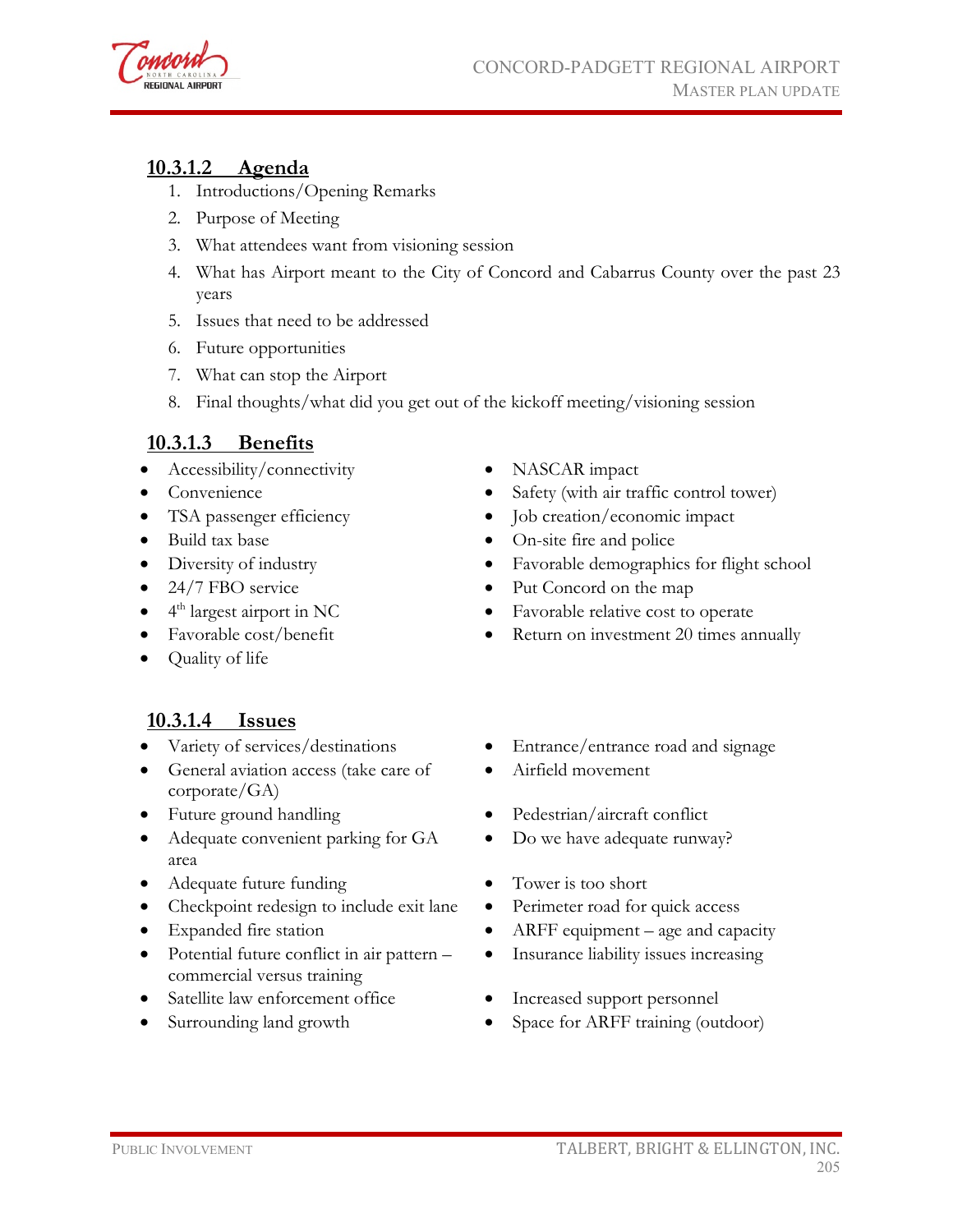

#### **10.3.1.2 Agenda**

- 1. Introductions/Opening Remarks
- 2. Purpose of Meeting
- 3. What attendees want from visioning session
- 4. What has Airport meant to the City of Concord and Cabarrus County over the past 23 years
- 5. Issues that need to be addressed
- 6. Future opportunities
- 7. What can stop the Airport
- 8. Final thoughts/what did you get out of the kickoff meeting/visioning session

#### **10.3.1.3 Benefits**

- Accessibility/connectivity NASCAR impact
- 
- 
- 
- 
- 
- 
- 
- Quality of life

#### **10.3.1.4 Issues**

- 
- General aviation access (take care of corporate/GA)
- 
- Adequate convenient parking for GA area
- Adequate future funding Tower is too short
- Checkpoint redesign to include exit lane Perimeter road for quick access
- 
- Potential future conflict in air pattern commercial versus training
- Satellite law enforcement office Increased support personnel
- 
- 
- Convenience Safety (with air traffic control tower)
- TSA passenger efficiency Job creation/economic impact
- Build tax base On-site fire and police
- Diversity of industry Favorable demographics for flight school
- 24/7 FBO service Put Concord on the map
- 4<sup>th</sup> largest airport in NC Favorable relative cost to operate
- Favorable cost/benefit Return on investment 20 times annually
- Variety of services/destinations Entrance/entrance road and signage
	- Airfield movement
- Future ground handling Pedestrian/aircraft conflict
	- Do we have adequate runway?
	-
	-
- Expanded fire station ARFF equipment age and capacity
	- Insurance liability issues increasing
	-
- Surrounding land growth Space for ARFF training (outdoor)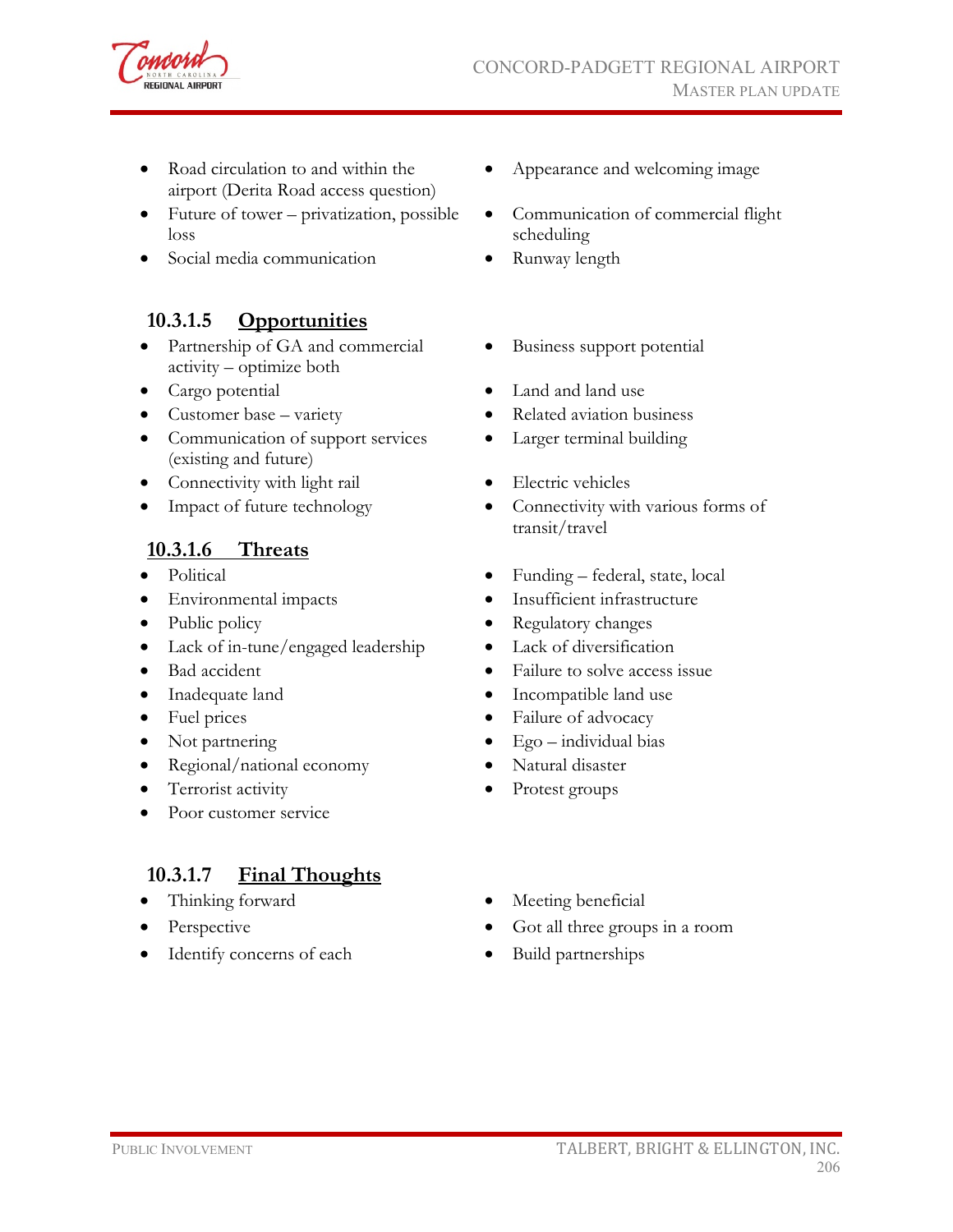

- Road circulation to and within the airport (Derita Road access question)
- Future of tower privatization, possible loss
- Social media communication Runway length

#### **10.3.1.5 Opportunities**

- Partnership of GA and commercial activity – optimize both
- 
- 
- Communication of support services (existing and future)
- Connectivity with light rail Electric vehicles
- 

#### **10.3.1.6 Threats**

- 
- 
- 
- Lack of in-tune/engaged leadership Lack of diversification
- 
- 
- 
- 
- Regional/national economy Natural disaster
- Terrorist activity Protest groups
- Poor customer service

#### **10.3.1.7 Final Thoughts**

- 
- 
- Identify concerns of each Build partnerships
- Appearance and welcoming image
- Communication of commercial flight scheduling
- 
- Business support potential
- Cargo potential Land and land use
- Customer base variety Related aviation business
	- Larger terminal building
	-
- Impact of future technology Connectivity with various forms of transit/travel
- Political Funding federal, state, local
- Environmental impacts Insufficient infrastructure
- Public policy Regulatory changes
	-
- Bad accident Failure to solve access issue
- Inadequate land Incompatible land use
- Fuel prices Failure of advocacy
- Not partnering Ego individual bias
	-
	-
	- Thinking forward Meeting beneficial
	- Perspective Got all three groups in a room
		-